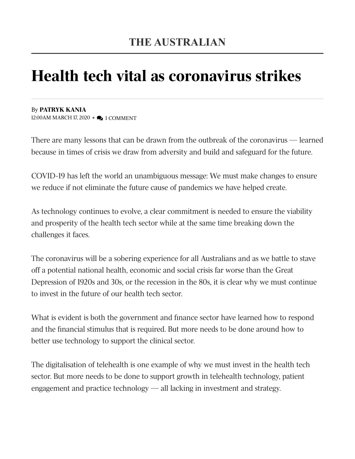## Health tech vital as coronavirus strikes

By PATRYK KANIA 12:00AM MARCH 17, 2020 • 2 1 COMMENT

There are many lessons that can be drawn from the outbreak of the coronavirus — learned because in times of crisis we draw from adversity and build and safeguard for the future.

COVID-19 has left the world an unambiguous message: We must make changes to ensure we reduce if not eliminate the future cause of pandemics we have helped create.

As technology continues to evolve, a clear commitment is needed to ensure the viability and prosperity of the health tech sector while at the same time breaking down the challenges it faces.

The coronavirus will be a sobering experience for all Australians and as we battle to stave off a potential national health, economic and social crisis far worse than the Great Depression of 1920s and 30s, or the recession in the 80s, it is clear why we must continue to invest in the future of our health tech sector.

What is evident is both the government and finance sector have learned how to respond and the financial stimulus that is required. But more needs to be done around how to better use technology to support the clinical sector.

The digitalisation of telehealth is one example of why we must invest in the health tech sector. But more needs to be done to support growth in telehealth technology, patient engagement and practice technology — all lacking in investment and strategy.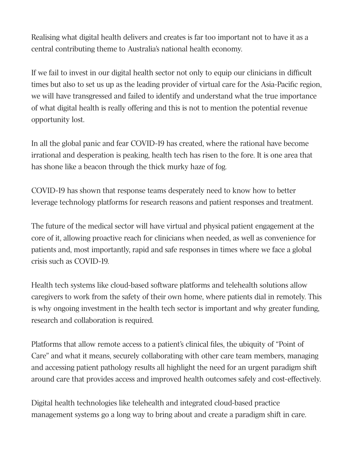Realising what digital health delivers and creates is far too important not to have it as a central contributing theme to Australia's national health economy.

If we fail to invest in our digital health sector not only to equip our clinicians in difficult times but also to set us up as the leading provider of virtual care for the Asia-Pacific region, we will have transgressed and failed to identify and understand what the true importance of what digital health is really offering and this is not to mention the potential revenue opportunity lost.

In all the global panic and fear COVID-19 has created, where the rational have become irrational and desperation is peaking, health tech has risen to the fore. It is one area that has shone like a beacon through the thick murky haze of fog.

COVID-19 has shown that response teams desperately need to know how to better leverage technology platforms for research reasons and patient responses and treatment.

The future of the medical sector will have virtual and physical patient engagement at the core of it, allowing proactive reach for clinicians when needed, as well as convenience for patients and, most importantly, rapid and safe responses in times where we face a global crisis such as COVID-19.

Health tech systems like cloud-based software platforms and telehealth solutions allow caregivers to work from the safety of their own home, where patients dial in remotely. This is why ongoing investment in the health tech sector is important and why greater funding, research and collaboration is required.

Platforms that allow remote access to a patient's clinical files, the ubiquity of "Point of Care" and what it means, securely collaborating with other care team members, managing and accessing patient pathology results all highlight the need for an urgent paradigm shift around care that provides access and improved health outcomes safely and cost-effectively.

Digital health technologies like telehealth and integrated cloud-based practice management systems go a long way to bring about and create a paradigm shift in care.